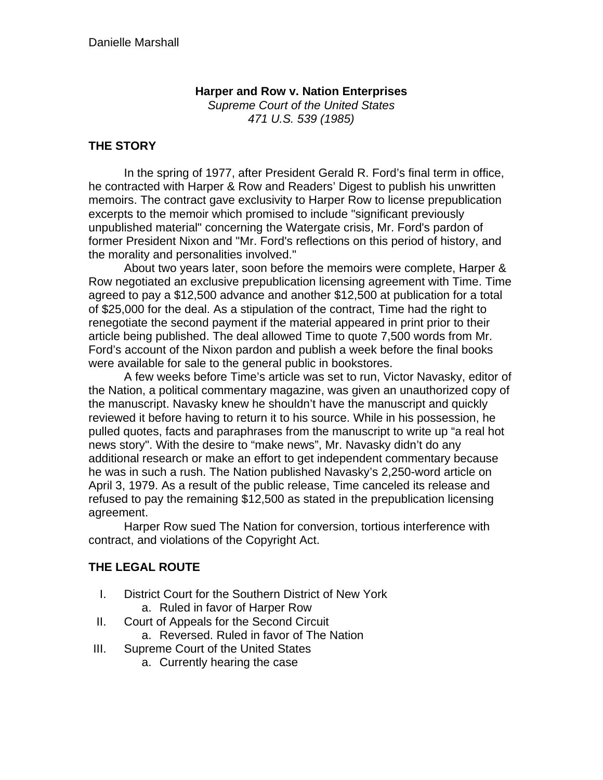#### **Harper and Row v. Nation Enterprises**

*Supreme Court of the United States 471 U.S. 539 (1985)*

#### **THE STORY**

In the spring of 1977, after President Gerald R. Ford's final term in office, he contracted with Harper & Row and Readers' Digest to publish his unwritten memoirs. The contract gave exclusivity to Harper Row to license prepublication excerpts to the memoir which promised to include "significant previously unpublished material" concerning the Watergate crisis, Mr. Ford's pardon of former President Nixon and "Mr. Ford's reflections on this period of history, and the morality and personalities involved."

About two years later, soon before the memoirs were complete, Harper & Row negotiated an exclusive prepublication licensing agreement with Time. Time agreed to pay a \$12,500 advance and another \$12,500 at publication for a total of \$25,000 for the deal. As a stipulation of the contract, Time had the right to renegotiate the second payment if the material appeared in print prior to their article being published. The deal allowed Time to quote 7,500 words from Mr. Ford's account of the Nixon pardon and publish a week before the final books were available for sale to the general public in bookstores.

A few weeks before Time's article was set to run, Victor Navasky, editor of the Nation, a political commentary magazine, was given an unauthorized copy of the manuscript. Navasky knew he shouldn't have the manuscript and quickly reviewed it before having to return it to his source. While in his possession, he pulled quotes, facts and paraphrases from the manuscript to write up "a real hot news story". With the desire to "make news", Mr. Navasky didn't do any additional research or make an effort to get independent commentary because he was in such a rush. The Nation published Navasky's 2,250-word article on April 3, 1979. As a result of the public release, Time canceled its release and refused to pay the remaining \$12,500 as stated in the prepublication licensing agreement.

Harper Row sued The Nation for conversion, tortious interference with contract, and violations of the Copyright Act.

## **THE LEGAL ROUTE**

- I. District Court for the Southern District of New York a. Ruled in favor of Harper Row
- II. Court of Appeals for the Second Circuit
	- a. Reversed. Ruled in favor of The Nation
- III. Supreme Court of the United States
	- a. Currently hearing the case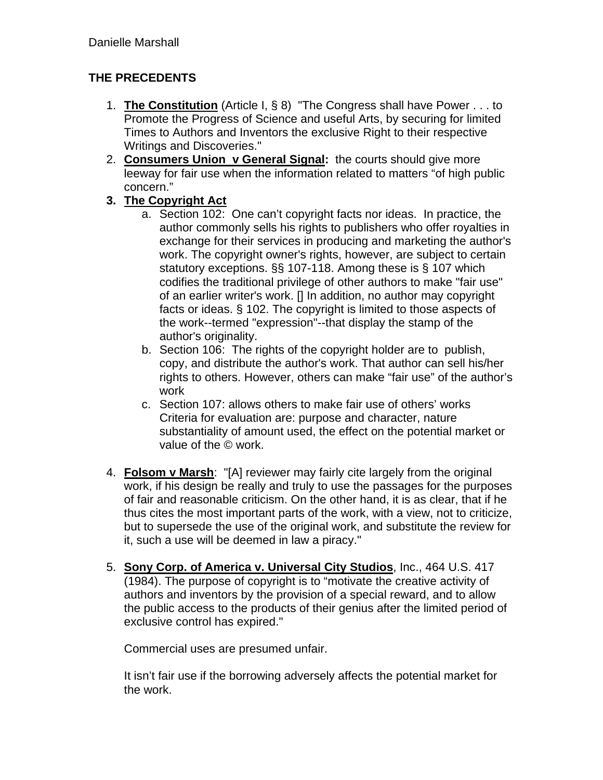# **THE PRECEDENTS**

- 1. **The Constitution** (Article I, § 8) "The Congress shall have Power . . . to Promote the Progress of Science and useful Arts, by securing for limited Times to Authors and Inventors the exclusive Right to their respective Writings and Discoveries."
- 2. **Consumers Union v General Signal:** the courts should give more leeway for fair use when the information related to matters "of high public concern."
- **3. The Copyright Act** 
	- a. Section 102: One can't copyright facts nor ideas. In practice, the author commonly sells his rights to publishers who offer royalties in exchange for their services in producing and marketing the author's work. The copyright owner's rights, however, are subject to certain statutory exceptions. §§ 107-118. Among these is § 107 which codifies the traditional privilege of other authors to make "fair use" of an earlier writer's work. [] In addition, no author may copyright facts or ideas. § 102. The copyright is limited to those aspects of the work--termed "expression"--that display the stamp of the author's originality.
	- b. Section 106: The rights of the copyright holder are to publish, copy, and distribute the author's work. That author can sell his/her rights to others. However, others can make "fair use" of the author's work
	- c. Section 107: allows others to make fair use of others' works Criteria for evaluation are: purpose and character, nature substantiality of amount used, the effect on the potential market or value of the © work.
- 4. **Folsom v Marsh**: "[A] reviewer may fairly cite largely from the original work, if his design be really and truly to use the passages for the purposes of fair and reasonable criticism. On the other hand, it is as clear, that if he thus cites the most important parts of the work, with a view, not to criticize, but to supersede the use of the original work, and substitute the review for it, such a use will be deemed in law a piracy."
- 5. **Sony Corp. of America v. Universal City Studios**, Inc., 464 U.S. 417 (1984). The purpose of copyright is to "motivate the creative activity of authors and inventors by the provision of a special reward, and to allow the public access to the products of their genius after the limited period of exclusive control has expired."

Commercial uses are presumed unfair.

It isn't fair use if the borrowing adversely affects the potential market for the work.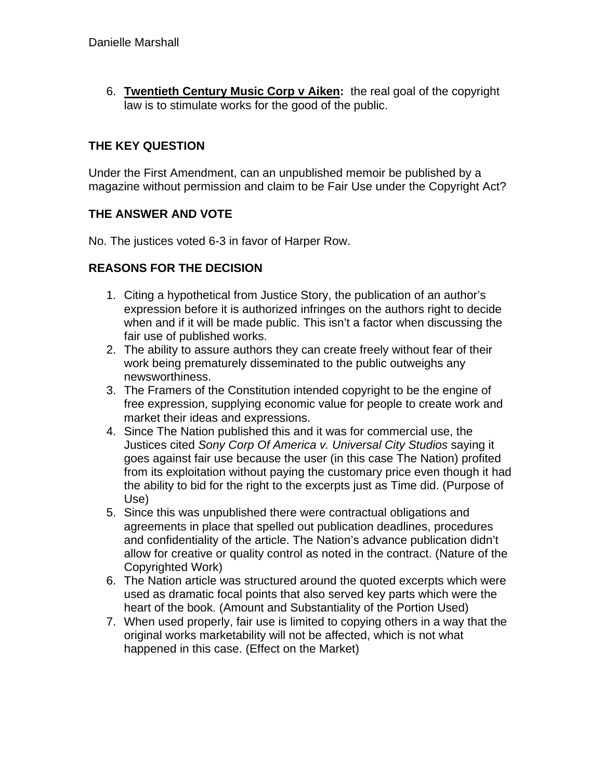6. **Twentieth Century Music Corp v Aiken:** the real goal of the copyright law is to stimulate works for the good of the public.

## **THE KEY QUESTION**

Under the First Amendment, can an unpublished memoir be published by a magazine without permission and claim to be Fair Use under the Copyright Act?

### **THE ANSWER AND VOTE**

No. The justices voted 6-3 in favor of Harper Row.

### **REASONS FOR THE DECISION**

- 1. Citing a hypothetical from Justice Story, the publication of an author's expression before it is authorized infringes on the authors right to decide when and if it will be made public. This isn't a factor when discussing the fair use of published works.
- 2. The ability to assure authors they can create freely without fear of their work being prematurely disseminated to the public outweighs any newsworthiness.
- 3. The Framers of the Constitution intended copyright to be the engine of free expression, supplying economic value for people to create work and market their ideas and expressions.
- 4. Since The Nation published this and it was for commercial use, the Justices cited *Sony Corp Of America v. Universal City Studios* saying it goes against fair use because the user (in this case The Nation) profited from its exploitation without paying the customary price even though it had the ability to bid for the right to the excerpts just as Time did. (Purpose of Use)
- 5. Since this was unpublished there were contractual obligations and agreements in place that spelled out publication deadlines, procedures and confidentiality of the article. The Nation's advance publication didn't allow for creative or quality control as noted in the contract. (Nature of the Copyrighted Work)
- 6. The Nation article was structured around the quoted excerpts which were used as dramatic focal points that also served key parts which were the heart of the book. (Amount and Substantiality of the Portion Used)
- 7. When used properly, fair use is limited to copying others in a way that the original works marketability will not be affected, which is not what happened in this case. (Effect on the Market)